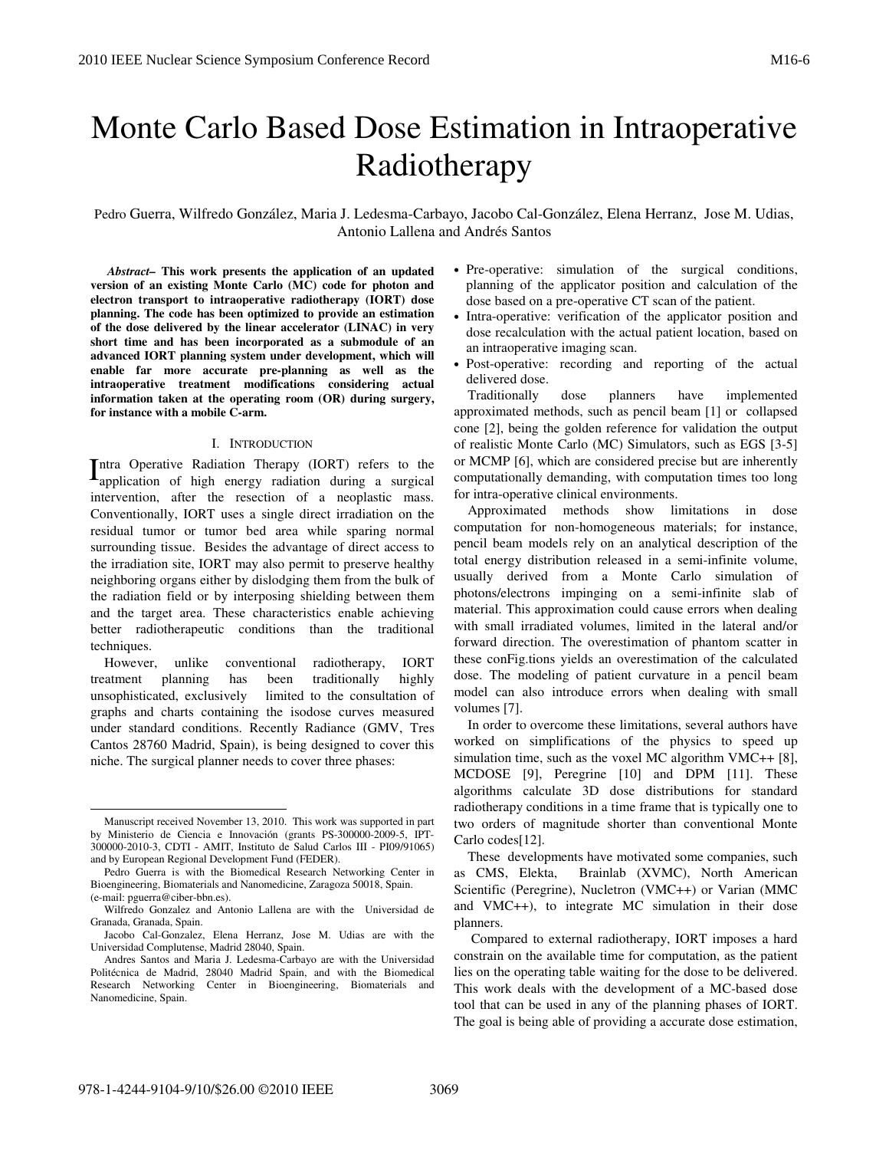# Monte Carlo Based Dose Estimation in Intraoperative Radiotherapy

Pedro Guerra, Wilfredo González, Maria J. Ledesma-Carbayo, Jacobo Cal-González, Elena Herranz, Jose M. Udias, Antonio Lallena and Andrés Santos

 *Abstract–* **This work presents the application of an updated version of an existing Monte Carlo (MC) code for photon and electron transport to intraoperative radiotherapy (IORT) dose planning. The code has been optimized to provide an estimation of the dose delivered by the linear accelerator (LINAC) in very short time and has been incorporated as a submodule of an advanced IORT planning system under development, which will enable far more accurate pre-planning as well as the intraoperative treatment modifications considering actual information taken at the operating room (OR) during surgery, for instance with a mobile C-arm.** 

#### I. INTRODUCTION

ntra Operative Radiation Therapy (IORT) refers to the Intra Operative Radiation Therapy (IORT) refers to the application of high energy radiation during a surgical intervention, after the resection of a neoplastic mass. Conventionally, IORT uses a single direct irradiation on the residual tumor or tumor bed area while sparing normal surrounding tissue. Besides the advantage of direct access to the irradiation site, IORT may also permit to preserve healthy neighboring organs either by dislodging them from the bulk of the radiation field or by interposing shielding between them and the target area. These characteristics enable achieving better radiotherapeutic conditions than the traditional techniques.

However, unlike conventional radiotherapy, IORT treatment planning has been traditionally highly unsophisticated, exclusively limited to the consultation of graphs and charts containing the isodose curves measured under standard conditions. Recently Radiance (GMV, Tres Cantos 28760 Madrid, Spain), is being designed to cover this niche. The surgical planner needs to cover three phases:

- Pre-operative: simulation of the surgical conditions, planning of the applicator position and calculation of the dose based on a pre-operative CT scan of the patient.
- Intra-operative: verification of the applicator position and dose recalculation with the actual patient location, based on an intraoperative imaging scan.
- Post-operative: recording and reporting of the actual delivered dose.

Traditionally dose planners have implemented approximated methods, such as pencil beam [1] or collapsed cone [2], being the golden reference for validation the output of realistic Monte Carlo (MC) Simulators, such as EGS [3-5] or MCMP [6], which are considered precise but are inherently computationally demanding, with computation times too long for intra-operative clinical environments.

Approximated methods show limitations in dose computation for non-homogeneous materials; for instance, pencil beam models rely on an analytical description of the total energy distribution released in a semi-infinite volume, usually derived from a Monte Carlo simulation of photons/electrons impinging on a semi-infinite slab of material. This approximation could cause errors when dealing with small irradiated volumes, limited in the lateral and/or forward direction. The overestimation of phantom scatter in these conFig.tions yields an overestimation of the calculated dose. The modeling of patient curvature in a pencil beam model can also introduce errors when dealing with small volumes [7].

In order to overcome these limitations, several authors have worked on simplifications of the physics to speed up simulation time, such as the voxel MC algorithm VMC++ [8], MCDOSE [9], Peregrine [10] and DPM [11]. These algorithms calculate 3D dose distributions for standard radiotherapy conditions in a time frame that is typically one to two orders of magnitude shorter than conventional Monte Carlo codes[12].

These developments have motivated some companies, such as CMS, Elekta, Brainlab (XVMC), North American Scientific (Peregrine), Nucletron (VMC++) or Varian (MMC and VMC++), to integrate MC simulation in their dose planners.

Manuscript received November 13, 2010. This work was supported in part by Ministerio de Ciencia e Innovación (grants PS-300000-2009-5, IPT-300000-2010-3, CDTI - AMIT, Instituto de Salud Carlos III - PI09/91065) and by European Regional Development Fund (FEDER).

Pedro Guerra is with the Biomedical Research Networking Center in Bioengineering, Biomaterials and Nanomedicine, Zaragoza 50018, Spain. (e-mail: pguerra@ciber-bbn.es).

Wilfredo Gonzalez and Antonio Lallena are with the Universidad de Granada, Granada, Spain.

Jacobo Cal-Gonzalez, Elena Herranz, Jose M. Udias are with the Universidad Complutense, Madrid 28040, Spain.

Andres Santos and Maria J. Ledesma-Carbayo are with the Universidad Politécnica de Madrid, 28040 Madrid Spain, and with the Biomedical Research Networking Center in Bioengineering, Biomaterials and Nanomedicine, Spain.

Compared to external radiotherapy, IORT imposes a hard constrain on the available time for computation, as the patient lies on the operating table waiting for the dose to be delivered. This work deals with the development of a MC-based dose tool that can be used in any of the planning phases of IORT. The goal is being able of providing a accurate dose estimation,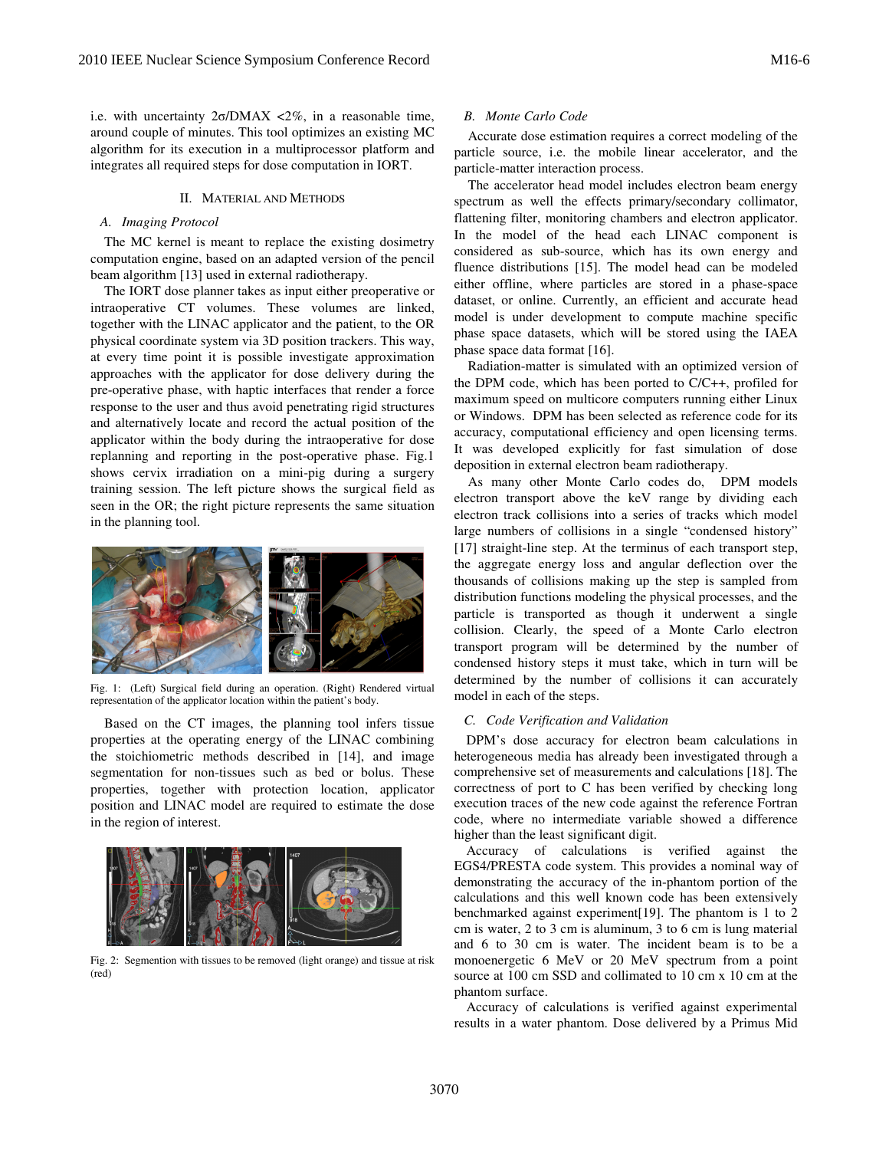i.e. with uncertainty 2σ/DMAX <2%, in a reasonable time, around couple of minutes. This tool optimizes an existing MC algorithm for its execution in a multiprocessor platform and integrates all required steps for dose computation in IORT.

#### II. MATERIAL AND METHODS

#### *A. Imaging Protocol*

The MC kernel is meant to replace the existing dosimetry algorithm for its execution in a multiprocessor platform and<br>integrates all required steps for dose computation in IORT.<br>II. MATERIAL AND METHODS<br>A. *Imaging Protocol*<br>The MC kernel is meant to replace the existing dosimet beam algorithm [13] used in external radiotherapy.

The IORT dose planner takes as input either preoperative or intraoperative CT volumes. These volumes are linked, together with the LINAC applicator and the patient, to the OR physical coordinate system via 3D position trackers. This way, at every time point it is possible investigate approximation approaches with the applicator for dose delivery during the pre-operative phase, with haptic interfaces that response to the user and thus avoid penetrating rigid structures and alternatively locate and record the actual position of the applicator within the body during the intraoperative for dose replanning and reporting in the post-operative phase. Fig.1 shows cervix irradiation on a mini-pig during a surgery training session. The left picture shows the surgical field as seen in the OR; the right picture represents the same situation in the planning tool. The IORT dose planner takes as input either preoperative or intraoperative CT volumes. These volumes are linked, together with the LINAC applicator and the patient, to the OR physical coordinate system via 3D position trac etrating rigid structures<br>cactual position of the<br>intraoperative for dose<br>operative phase. Fig.1



Fig. 1: (Left) Surgical field during an operation. (Right) Rendered virtual representation of the applicator location within the patient's body.

Based on the CT images, the planning tool infers tissue properties at the operating energy of the LINAC combining the stoichiometric methods described in [14] [14], and image segmentation for non-tissues such as bed or bolus. These properties, together with protection location, applicator position and LINAC model are required to estimate the dose in the region of interest.



Fig. 2: Segmention with tissues to be removed (light orange) and tissue at risk (red)

## *B. Monte Carlo Code*

Accurate dose estimation requires a correct modeling of the particle source, i.e. the mobile linear accelerator, and the particle-matter interaction process.

The accelerator head model includes electron beam energy spectrum as well the effects primary/secondary collimator, flattening filter, monitoring chambers and electron applicator. In the model of the head each LINAC component is considered as sub-source, which has its own energy and fluence distributions [15]. The model head can be modeled either offline, where particles are stored in a phase-space dataset, or online. Currently, an efficient and accurate head model is under development to compute machine specific phase space datasets, which will be stored using the IAEA phase space data format [16]. dataset, or online. Currently, an efficient and accurate head<br>model is under development to compute machine specific<br>phase space datasets, which will be stored using the IAEA<br>phase space data format [16].<br>Radiation-matter Accurate dose estimation requires a correct modeling of the ritcle source, i.e. the mobile linear accelerator, and the ritcle-matter interaction process.<br>The accelerator head model includes electron beam energy ectrum as w

the DPM code, which has been ported to C/C++, profiled for maximum speed on multicore computers running either Linux or Windows. DPM has been selected as referen accuracy, computational efficiency and open licensing terms. It was developed explicitly for fast simulation of dose deposition in external electron beam radiotherapy. was developed explicitly for fast simulation of dose<br>position in external electron beam radiotherapy.<br>As many other Monte Carlo codes do, DPM models code, which has been ported to C/C++, profiled for<br>speed on multicore computers running either Linux<br>ws. DPM has been selected as reference code for its

electron transport above the keV range by dividing each electron track collisions into a series of tracks which model large numbers of collisions in a single "condensed history" [17] straight-line step. At the terminus of each transport step, the aggregate energy loss and angular deflection over the thousands of collisions making up the step is sampled from distribution functions modeling the physical processes, and the particle is transported as though it underwent a single collision. Clearly, the speed of a Monte Carlo electron transport program will be determined by the number of condensed history steps it must take, which in turn will be determined by the number of collisions it can accurately model in each of the steps. of collisions making up the step is sampled from<br>a functions modeling the physical processes, and the<br>transported as though it underwent a single<br>Clearly, the speed of a Monte Carlo electron<br>program will be determined by t

#### *C. Code Verification and Validation*

DPM's dose accuracy for electron beam calculations in heterogeneous media has already been investigated through a comprehensive set of measurements and calculations [18]. The correctness of port to C has been verified by checking long execution traces of the new code against the reference Fortran code, where no intermediate variable showed a difference higher than the least significant digit. gher than the least significant digit.<br>Accuracy of calculations is verified against the

EGS4/PRESTA code system. This provides a nominal way of EGS4/PRESTA code system. This provides a nominal way of demonstrating the accuracy of the in-phantom portion of the calculations and this well known code has been extensively calculations and this well known code has been extensively benchmarked against experiment $[19]$ . The phantom is 1 to 2 cm is water, 2 to 3 cm is aluminum, 3 to 6 cm is lung material cm is water,  $2 \text{ to } 3 \text{ cm}$  is aluminum,  $3 \text{ to } 6 \text{ cm}$  is lung material and  $6 \text{ to } 30 \text{ cm}$  is water. The incident beam is to be a monoenergetic 6 MeV or 20 MeV spectrum from a point source at 100 cm SSD and collimated to 10 cm x 10 cm at the phantom surface.

Accuracy of calculations is verified against experimental results in a water phantom. Dose delivered by a Primus Mid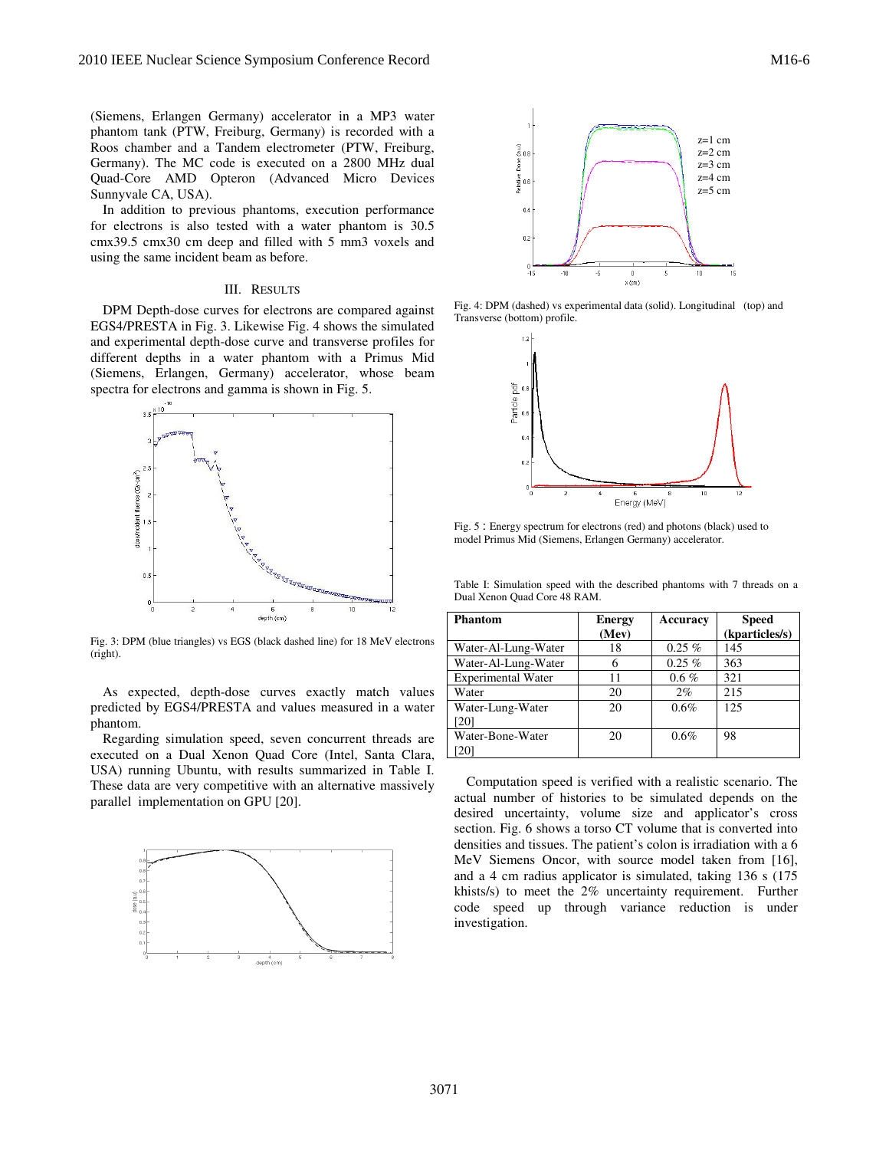(Siemens, Erlangen Germany) accelerator in a MP3 water (Siemens, Erlangen Germany) accelerator in a MP3 water<br>phantom tank (PTW, Freiburg, Germany) is recorded with a Roos chamber and a Tandem electrometer (PTW, Freiburg, Germany). The MC code is executed on a 2800 MHz dual Quad-Core AMD Opteron (Advanced Micro Devices Sunnyvale CA, USA). and a Tandem electrometer (PTW, Freiburg<br>e MC code is executed on a 2800 MHz dua<br>MD Opteron (Advanced Micro Device<br>USA).<br>to previous phantoms, execution performanc

In addition to previous phantoms, execution performance for electrons is also tested with a water phantom is 30.5 cmx39.5 cmx30 cm deep and filled with 5 mm3 voxels and using the same incident beam as before.

## III. RESULTS

DPM Depth-dose curves for electrons are compared against DPM Depth-dose curves for electrons are compared against EGS4/PRESTA in Fig. 3. Likewise Fig. 4 shows the simulated and experimental depth-dose curve and transverse profiles for different depths in a water phantom with a Primus Mid (Siemens, Erlangen, Germany) accelerator, whose beam spectra for electrons and gamma is shown in Fig. 5. and experimental depth-dose curve and transverse profilifferent depths in a water phantom with a Primu<br>Siemens, Erlangen, Germany) accelerator, whose<br>pectra for electrons and gamma is shown in Fig. 5.



Fig. 3: DPM (blue triangles) vs EGS (black dashed line) for 18 MeV electrons (right).

As expected, depth-dose curves exactly match values<br>redicted by EGS4/PRESTA and values measured in a water<br>hantom.<br>Regarding simulation speed, seven concurrent threads are<br>xecuted on a Dual Xenon Quad Core (Intel, Santa Cl predicted by EGS4/PRESTA and values measured in a water phantom.

Regarding simulation speed, seven concurrent threads are executed on a Dual Xenon Quad Core (Intel, Santa Clara, USA) running Ubuntu, with results summarized in Table I. These data are very competitive with an alternative massively parallel implementation on GPU [20].





Transverse (bottom) profile.



Fig. 5 : Energy spectrum for electrons (red) and photons (black) used to model Primus Mid (Siemens, Erlangen Germany) accelerator

Table I: Simulation speed with the described phantoms with 7 threads on a Dual Xenon Quad Core 48 RAM.

| s are compared against<br>. 4 shows the simulated<br>transverse profiles for<br>u with a Primus Mid<br>elerator, whose beam<br>vn in Fig. 5. | Fig. 4: DPM (dashed) vs experimental data (solid). Longitudinal (top) and<br>Transverse (bottom) profile.<br>12<br>Particle pdf<br>0.4<br>0.2<br>n<br>$\overline{a}$<br>10<br>$\Omega$<br>12 <sup>°</sup><br>Energy (MeV)<br>Fig. 5: Energy spectrum for electrons (red) and photons (black) used to<br>model Primus Mid (Siemens, Erlangen Germany) accelerator.<br>Table I: Simulation speed with the described phantoms with 7 threads on a |                        |                 |                                |  |
|----------------------------------------------------------------------------------------------------------------------------------------------|------------------------------------------------------------------------------------------------------------------------------------------------------------------------------------------------------------------------------------------------------------------------------------------------------------------------------------------------------------------------------------------------------------------------------------------------|------------------------|-----------------|--------------------------------|--|
| la n'anavana desana-<br>8                                                                                                                    | Dual Xenon Quad Core 48 RAM.                                                                                                                                                                                                                                                                                                                                                                                                                   |                        |                 |                                |  |
| 10<br>12                                                                                                                                     | <b>Phantom</b>                                                                                                                                                                                                                                                                                                                                                                                                                                 | <b>Energy</b><br>(Mev) | <b>Accuracy</b> | <b>Speed</b><br>(kparticles/s) |  |
| ed line) for 18 MeV electrons                                                                                                                | Water-Al-Lung-Water                                                                                                                                                                                                                                                                                                                                                                                                                            | 18                     | $0.25\%$        | 145                            |  |
|                                                                                                                                              | Water-Al-Lung-Water                                                                                                                                                                                                                                                                                                                                                                                                                            | 6                      | $0.25\%$        | 363                            |  |
|                                                                                                                                              | <b>Experimental Water</b>                                                                                                                                                                                                                                                                                                                                                                                                                      | 11                     | $0.6 \%$        | 321                            |  |
| exactly match values                                                                                                                         | Water                                                                                                                                                                                                                                                                                                                                                                                                                                          | 20                     | $2\%$           | 215                            |  |
| es measured in a water                                                                                                                       | Water-Lung-Water<br>[20]                                                                                                                                                                                                                                                                                                                                                                                                                       | 20                     | $0.6\%$         | 125                            |  |
| concurrent threads are<br>re (Intel, Santa Clara,                                                                                            | Water-Bone-Water<br>[20]                                                                                                                                                                                                                                                                                                                                                                                                                       | 20                     | 0.6%            | 98                             |  |
| ummarized in Table I.<br>n alternative massively                                                                                             | Computation speed is verified with a realistic scenario. The                                                                                                                                                                                                                                                                                                                                                                                   |                        |                 |                                |  |

Computation speed is verified with a realistic scenario. The actual number of histories to be simulated depends on the desired uncertainty, volume size and applicator's cross section. Fig. 6 shows a torso CT volume that is converted into densities and tissues. The patient's colon is irradiation with a 6 MeV Siemens Oncor, with source model taken from [16], and a 4 cm radius applicator is simulated, taking  $136$  s  $(175$ khists/s) to meet the 2% uncertainty requirement. Further code speed up through variance reduction is under investigation. Computation speed is verified with a realistic scenario. The actual number of histories to be simulated depends on the desired uncertainty, volume size and applicator's cross section. Fig. 6 shows a torso CT volume that is